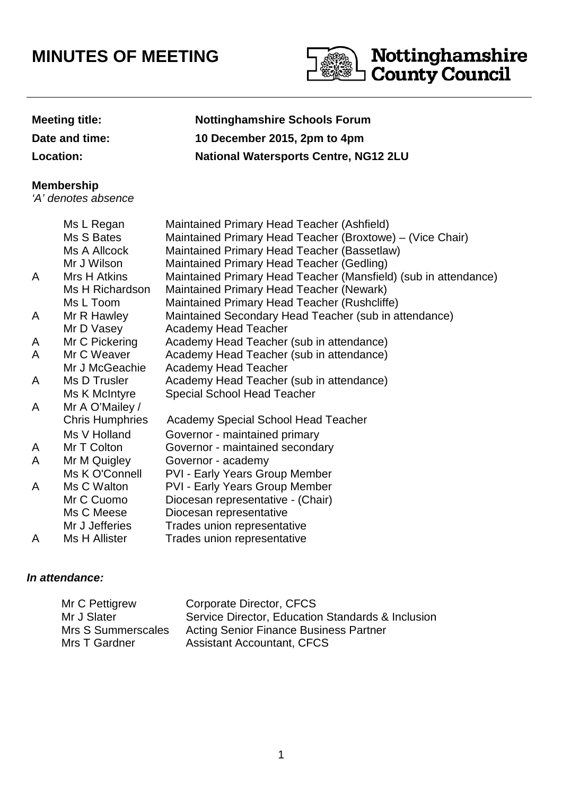# **MINUTES OF MEETING**



## **Meeting title: Nottinghamshire Schools Forum Date and time: 10 December 2015, 2pm to 4pm Location: National Watersports Centre, NG12 2LU**

#### **Membership**

'A' denotes absence

|   | Ms L Regan             | Maintained Primary Head Teacher (Ashfield)                      |
|---|------------------------|-----------------------------------------------------------------|
|   | Ms S Bates             | Maintained Primary Head Teacher (Broxtowe) – (Vice Chair)       |
|   | Ms A Allcock           | Maintained Primary Head Teacher (Bassetlaw)                     |
|   | Mr J Wilson            | Maintained Primary Head Teacher (Gedling)                       |
| A | Mrs H Atkins           | Maintained Primary Head Teacher (Mansfield) (sub in attendance) |
|   | Ms H Richardson        | Maintained Primary Head Teacher (Newark)                        |
|   | Ms L Toom              | Maintained Primary Head Teacher (Rushcliffe)                    |
| A | Mr R Hawley            | Maintained Secondary Head Teacher (sub in attendance)           |
|   | Mr D Vasey             | <b>Academy Head Teacher</b>                                     |
| A | Mr C Pickering         | Academy Head Teacher (sub in attendance)                        |
| A | Mr C Weaver            | Academy Head Teacher (sub in attendance)                        |
|   | Mr J McGeachie         | <b>Academy Head Teacher</b>                                     |
| A | Ms D Trusler           | Academy Head Teacher (sub in attendance)                        |
|   | Ms K McIntyre          | <b>Special School Head Teacher</b>                              |
| A | Mr A O'Mailey /        |                                                                 |
|   | <b>Chris Humphries</b> | Academy Special School Head Teacher                             |
|   | Ms V Holland           | Governor - maintained primary                                   |
| A | Mr T Colton            | Governor - maintained secondary                                 |
| A | Mr M Quigley           | Governor - academy                                              |
|   | Ms K O'Connell         | <b>PVI - Early Years Group Member</b>                           |
| A | Ms C Walton            | <b>PVI - Early Years Group Member</b>                           |
|   | Mr C Cuomo             | Diocesan representative - (Chair)                               |
|   | Ms C Meese             | Diocesan representative                                         |
|   | Mr J Jefferies         | Trades union representative                                     |
| A | Ms H Allister          | Trades union representative                                     |

#### **In attendance:**

| Mr C Pettigrew     | Corporate Director, CFCS                          |
|--------------------|---------------------------------------------------|
| Mr J Slater        | Service Director, Education Standards & Inclusion |
| Mrs S Summerscales | <b>Acting Senior Finance Business Partner</b>     |
| Mrs T Gardner      | <b>Assistant Accountant, CFCS</b>                 |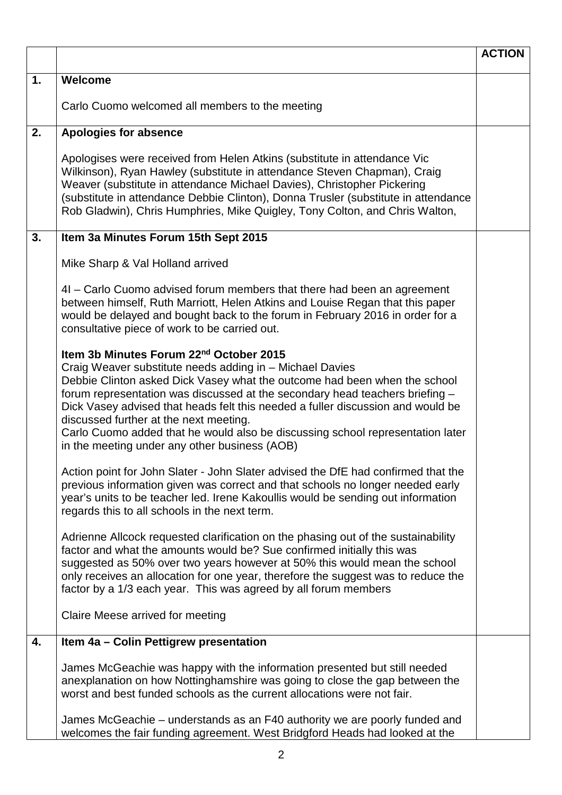|    |                                                                                                                                                                                                                                                                                                                                                                                                                                                                                                                                              | <b>ACTION</b> |
|----|----------------------------------------------------------------------------------------------------------------------------------------------------------------------------------------------------------------------------------------------------------------------------------------------------------------------------------------------------------------------------------------------------------------------------------------------------------------------------------------------------------------------------------------------|---------------|
| 1. | Welcome                                                                                                                                                                                                                                                                                                                                                                                                                                                                                                                                      |               |
|    | Carlo Cuomo welcomed all members to the meeting                                                                                                                                                                                                                                                                                                                                                                                                                                                                                              |               |
| 2. | <b>Apologies for absence</b>                                                                                                                                                                                                                                                                                                                                                                                                                                                                                                                 |               |
|    | Apologises were received from Helen Atkins (substitute in attendance Vic<br>Wilkinson), Ryan Hawley (substitute in attendance Steven Chapman), Craig<br>Weaver (substitute in attendance Michael Davies), Christopher Pickering<br>(substitute in attendance Debbie Clinton), Donna Trusler (substitute in attendance<br>Rob Gladwin), Chris Humphries, Mike Quigley, Tony Colton, and Chris Walton,                                                                                                                                         |               |
| 3. | Item 3a Minutes Forum 15th Sept 2015                                                                                                                                                                                                                                                                                                                                                                                                                                                                                                         |               |
|    | Mike Sharp & Val Holland arrived                                                                                                                                                                                                                                                                                                                                                                                                                                                                                                             |               |
|    | 4I - Carlo Cuomo advised forum members that there had been an agreement<br>between himself, Ruth Marriott, Helen Atkins and Louise Regan that this paper<br>would be delayed and bought back to the forum in February 2016 in order for a<br>consultative piece of work to be carried out.                                                                                                                                                                                                                                                   |               |
|    | Item 3b Minutes Forum 22 <sup>nd</sup> October 2015<br>Craig Weaver substitute needs adding in - Michael Davies<br>Debbie Clinton asked Dick Vasey what the outcome had been when the school<br>forum representation was discussed at the secondary head teachers briefing -<br>Dick Vasey advised that heads felt this needed a fuller discussion and would be<br>discussed further at the next meeting.<br>Carlo Cuomo added that he would also be discussing school representation later<br>in the meeting under any other business (AOB) |               |
|    | Action point for John Slater - John Slater advised the DfE had confirmed that the<br>previous information given was correct and that schools no longer needed early<br>year's units to be teacher led. Irene Kakoullis would be sending out information<br>regards this to all schools in the next term.                                                                                                                                                                                                                                     |               |
|    | Adrienne Allcock requested clarification on the phasing out of the sustainability<br>factor and what the amounts would be? Sue confirmed initially this was<br>suggested as 50% over two years however at 50% this would mean the school<br>only receives an allocation for one year, therefore the suggest was to reduce the<br>factor by a 1/3 each year. This was agreed by all forum members                                                                                                                                             |               |
|    | Claire Meese arrived for meeting                                                                                                                                                                                                                                                                                                                                                                                                                                                                                                             |               |
| 4. | Item 4a - Colin Pettigrew presentation                                                                                                                                                                                                                                                                                                                                                                                                                                                                                                       |               |
|    | James McGeachie was happy with the information presented but still needed<br>anexplanation on how Nottinghamshire was going to close the gap between the<br>worst and best funded schools as the current allocations were not fair.                                                                                                                                                                                                                                                                                                          |               |
|    | James McGeachie – understands as an F40 authority we are poorly funded and<br>welcomes the fair funding agreement. West Bridgford Heads had looked at the                                                                                                                                                                                                                                                                                                                                                                                    |               |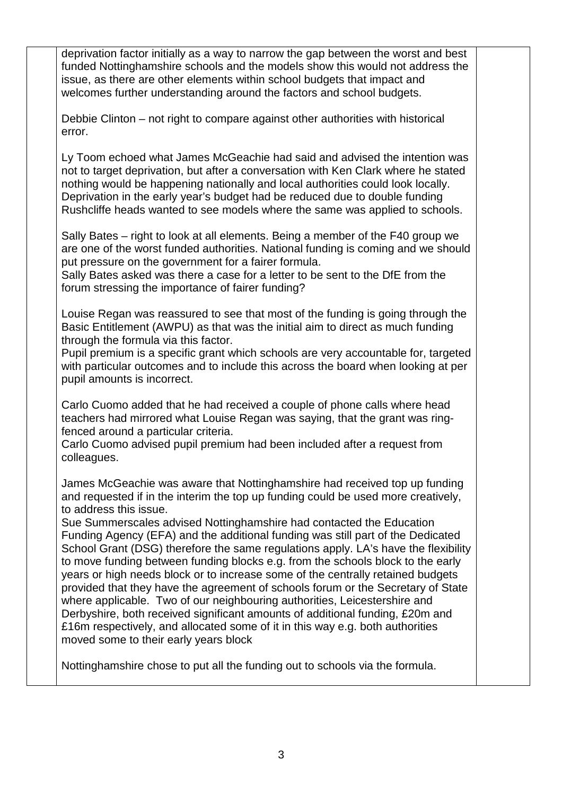deprivation factor initially as a way to narrow the gap between the worst and best funded Nottinghamshire schools and the models show this would not address the issue, as there are other elements within school budgets that impact and welcomes further understanding around the factors and school budgets.

Debbie Clinton – not right to compare against other authorities with historical error.

Ly Toom echoed what James McGeachie had said and advised the intention was not to target deprivation, but after a conversation with Ken Clark where he stated nothing would be happening nationally and local authorities could look locally. Deprivation in the early year's budget had be reduced due to double funding Rushcliffe heads wanted to see models where the same was applied to schools.

Sally Bates – right to look at all elements. Being a member of the F40 group we are one of the worst funded authorities. National funding is coming and we should put pressure on the government for a fairer formula.

Sally Bates asked was there a case for a letter to be sent to the DfE from the forum stressing the importance of fairer funding?

Louise Regan was reassured to see that most of the funding is going through the Basic Entitlement (AWPU) as that was the initial aim to direct as much funding through the formula via this factor.

Pupil premium is a specific grant which schools are very accountable for, targeted with particular outcomes and to include this across the board when looking at per pupil amounts is incorrect.

Carlo Cuomo added that he had received a couple of phone calls where head teachers had mirrored what Louise Regan was saying, that the grant was ringfenced around a particular criteria.

Carlo Cuomo advised pupil premium had been included after a request from colleagues.

James McGeachie was aware that Nottinghamshire had received top up funding and requested if in the interim the top up funding could be used more creatively, to address this issue.

Sue Summerscales advised Nottinghamshire had contacted the Education Funding Agency (EFA) and the additional funding was still part of the Dedicated School Grant (DSG) therefore the same regulations apply. LA's have the flexibility to move funding between funding blocks e.g. from the schools block to the early years or high needs block or to increase some of the centrally retained budgets provided that they have the agreement of schools forum or the Secretary of State where applicable. Two of our neighbouring authorities, Leicestershire and Derbyshire, both received significant amounts of additional funding, £20m and £16m respectively, and allocated some of it in this way e.g. both authorities moved some to their early years block

Nottinghamshire chose to put all the funding out to schools via the formula.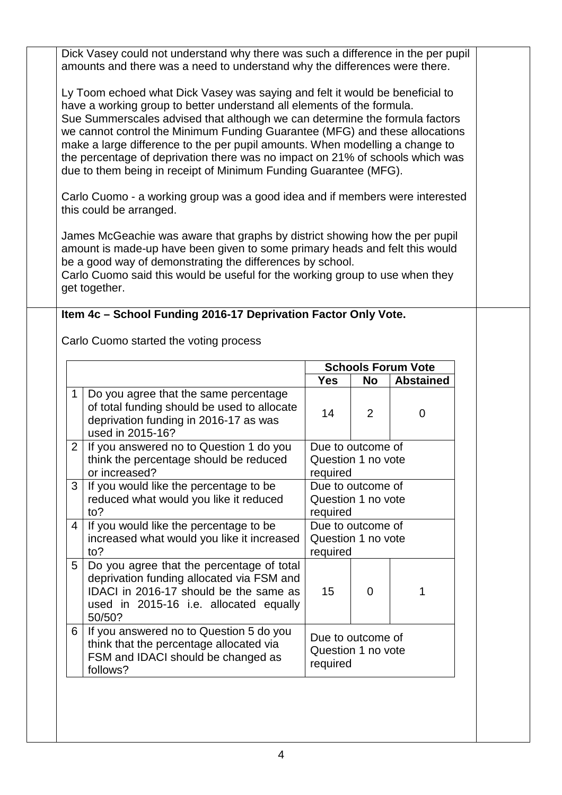| Dick Vasey could not understand why there was such a difference in the per pupil<br>amounts and there was a need to understand why the differences were there.                                                                                                                                                                                                                                                                                                                                                                                            |                                                                                                                                                                                      |                                                     |                |                           |  |  |
|-----------------------------------------------------------------------------------------------------------------------------------------------------------------------------------------------------------------------------------------------------------------------------------------------------------------------------------------------------------------------------------------------------------------------------------------------------------------------------------------------------------------------------------------------------------|--------------------------------------------------------------------------------------------------------------------------------------------------------------------------------------|-----------------------------------------------------|----------------|---------------------------|--|--|
| Ly Toom echoed what Dick Vasey was saying and felt it would be beneficial to<br>have a working group to better understand all elements of the formula.<br>Sue Summerscales advised that although we can determine the formula factors<br>we cannot control the Minimum Funding Guarantee (MFG) and these allocations<br>make a large difference to the per pupil amounts. When modelling a change to<br>the percentage of deprivation there was no impact on 21% of schools which was<br>due to them being in receipt of Minimum Funding Guarantee (MFG). |                                                                                                                                                                                      |                                                     |                |                           |  |  |
| Carlo Cuomo - a working group was a good idea and if members were interested<br>this could be arranged.                                                                                                                                                                                                                                                                                                                                                                                                                                                   |                                                                                                                                                                                      |                                                     |                |                           |  |  |
| James McGeachie was aware that graphs by district showing how the per pupil<br>amount is made-up have been given to some primary heads and felt this would<br>be a good way of demonstrating the differences by school.<br>Carlo Cuomo said this would be useful for the working group to use when they<br>get together.                                                                                                                                                                                                                                  |                                                                                                                                                                                      |                                                     |                |                           |  |  |
| Item 4c - School Funding 2016-17 Deprivation Factor Only Vote.                                                                                                                                                                                                                                                                                                                                                                                                                                                                                            |                                                                                                                                                                                      |                                                     |                |                           |  |  |
|                                                                                                                                                                                                                                                                                                                                                                                                                                                                                                                                                           |                                                                                                                                                                                      |                                                     |                |                           |  |  |
|                                                                                                                                                                                                                                                                                                                                                                                                                                                                                                                                                           | Carlo Cuomo started the voting process                                                                                                                                               |                                                     |                |                           |  |  |
|                                                                                                                                                                                                                                                                                                                                                                                                                                                                                                                                                           |                                                                                                                                                                                      |                                                     |                | <b>Schools Forum Vote</b> |  |  |
|                                                                                                                                                                                                                                                                                                                                                                                                                                                                                                                                                           |                                                                                                                                                                                      | <b>Yes</b>                                          | <b>No</b>      | <b>Abstained</b>          |  |  |
| 1                                                                                                                                                                                                                                                                                                                                                                                                                                                                                                                                                         | Do you agree that the same percentage<br>of total funding should be used to allocate<br>deprivation funding in 2016-17 as was<br>used in 2015-16?                                    | 14                                                  | $\overline{2}$ | $\mathbf 0$               |  |  |
| $\overline{2}$                                                                                                                                                                                                                                                                                                                                                                                                                                                                                                                                            | If you answered no to Question 1 do you                                                                                                                                              | Due to outcome of                                   |                |                           |  |  |
|                                                                                                                                                                                                                                                                                                                                                                                                                                                                                                                                                           | think the percentage should be reduced<br>or increased?                                                                                                                              | Question 1 no vote<br>required                      |                |                           |  |  |
| 3                                                                                                                                                                                                                                                                                                                                                                                                                                                                                                                                                         | If you would like the percentage to be<br>reduced what would you like it reduced<br>to?                                                                                              | Due to outcome of<br>Question 1 no vote<br>required |                |                           |  |  |
| 4                                                                                                                                                                                                                                                                                                                                                                                                                                                                                                                                                         | If you would like the percentage to be<br>increased what would you like it increased<br>to?                                                                                          | Due to outcome of<br>Question 1 no vote<br>required |                |                           |  |  |
| 5                                                                                                                                                                                                                                                                                                                                                                                                                                                                                                                                                         | Do you agree that the percentage of total<br>deprivation funding allocated via FSM and<br>IDACI in 2016-17 should be the same as<br>used in 2015-16 i.e. allocated equally<br>50/50? | 15                                                  | 0              | 1                         |  |  |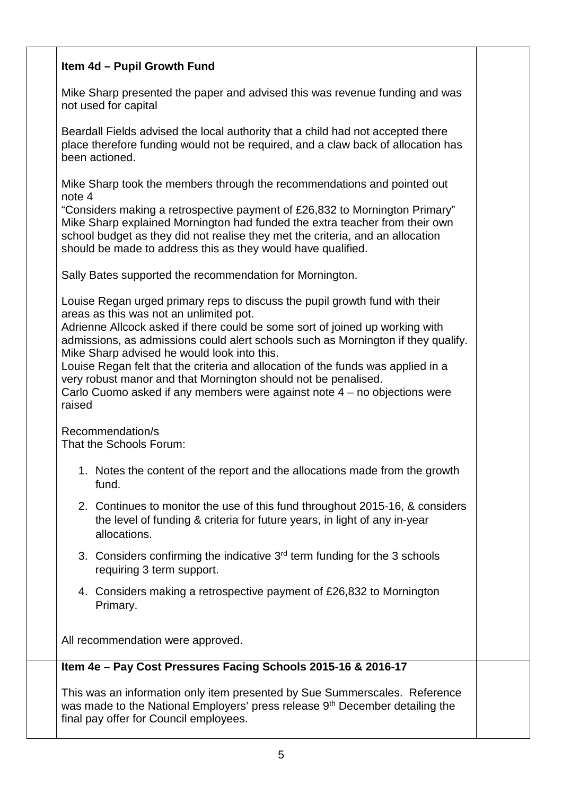### **Item 4d – Pupil Growth Fund**

Mike Sharp presented the paper and advised this was revenue funding and was not used for capital

Beardall Fields advised the local authority that a child had not accepted there place therefore funding would not be required, and a claw back of allocation has been actioned.

Mike Sharp took the members through the recommendations and pointed out note 4

"Considers making a retrospective payment of £26,832 to Mornington Primary" Mike Sharp explained Mornington had funded the extra teacher from their own school budget as they did not realise they met the criteria, and an allocation should be made to address this as they would have qualified.

Sally Bates supported the recommendation for Mornington.

Louise Regan urged primary reps to discuss the pupil growth fund with their areas as this was not an unlimited pot.

Adrienne Allcock asked if there could be some sort of joined up working with admissions, as admissions could alert schools such as Mornington if they qualify. Mike Sharp advised he would look into this.

Louise Regan felt that the criteria and allocation of the funds was applied in a very robust manor and that Mornington should not be penalised.

Carlo Cuomo asked if any members were against note 4 – no objections were raised

Recommendation/s That the Schools Forum:

- 1. Notes the content of the report and the allocations made from the growth fund.
- 2. Continues to monitor the use of this fund throughout 2015-16, & considers the level of funding & criteria for future years, in light of any in-year allocations.
- 3. Considers confirming the indicative  $3<sup>rd</sup>$  term funding for the 3 schools requiring 3 term support.
- 4. Considers making a retrospective payment of £26,832 to Mornington Primary.

All recommendation were approved.

#### **Item 4e – Pay Cost Pressures Facing Schools 2015-16 & 2016-17**

This was an information only item presented by Sue Summerscales. Reference was made to the National Employers' press release 9<sup>th</sup> December detailing the final pay offer for Council employees.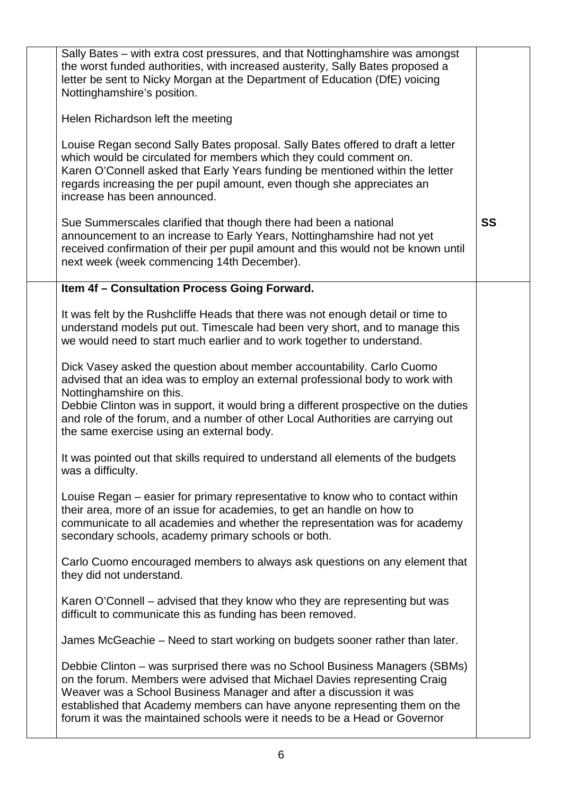| Sally Bates - with extra cost pressures, and that Nottinghamshire was amongst<br>the worst funded authorities, with increased austerity, Sally Bates proposed a<br>letter be sent to Nicky Morgan at the Department of Education (DfE) voicing<br>Nottinghamshire's position.                                                                                                                              |           |
|------------------------------------------------------------------------------------------------------------------------------------------------------------------------------------------------------------------------------------------------------------------------------------------------------------------------------------------------------------------------------------------------------------|-----------|
| Helen Richardson left the meeting                                                                                                                                                                                                                                                                                                                                                                          |           |
| Louise Regan second Sally Bates proposal. Sally Bates offered to draft a letter<br>which would be circulated for members which they could comment on.<br>Karen O'Connell asked that Early Years funding be mentioned within the letter<br>regards increasing the per pupil amount, even though she appreciates an<br>increase has been announced.                                                          |           |
| Sue Summerscales clarified that though there had been a national<br>announcement to an increase to Early Years, Nottinghamshire had not yet<br>received confirmation of their per pupil amount and this would not be known until<br>next week (week commencing 14th December).                                                                                                                             | <b>SS</b> |
| Item 4f - Consultation Process Going Forward.                                                                                                                                                                                                                                                                                                                                                              |           |
| It was felt by the Rushcliffe Heads that there was not enough detail or time to<br>understand models put out. Timescale had been very short, and to manage this<br>we would need to start much earlier and to work together to understand.                                                                                                                                                                 |           |
| Dick Vasey asked the question about member accountability. Carlo Cuomo<br>advised that an idea was to employ an external professional body to work with<br>Nottinghamshire on this.<br>Debbie Clinton was in support, it would bring a different prospective on the duties<br>and role of the forum, and a number of other Local Authorities are carrying out<br>the same exercise using an external body. |           |
| It was pointed out that skills required to understand all elements of the budgets<br>was a difficulty.                                                                                                                                                                                                                                                                                                     |           |
| Louise Regan – easier for primary representative to know who to contact within<br>their area, more of an issue for academies, to get an handle on how to<br>communicate to all academies and whether the representation was for academy<br>secondary schools, academy primary schools or both.                                                                                                             |           |
| Carlo Cuomo encouraged members to always ask questions on any element that<br>they did not understand.                                                                                                                                                                                                                                                                                                     |           |
| Karen O'Connell – advised that they know who they are representing but was<br>difficult to communicate this as funding has been removed.                                                                                                                                                                                                                                                                   |           |
| James McGeachie – Need to start working on budgets sooner rather than later.                                                                                                                                                                                                                                                                                                                               |           |
| Debbie Clinton – was surprised there was no School Business Managers (SBMs)<br>on the forum. Members were advised that Michael Davies representing Craig<br>Weaver was a School Business Manager and after a discussion it was<br>established that Academy members can have anyone representing them on the<br>forum it was the maintained schools were it needs to be a Head or Governor                  |           |
|                                                                                                                                                                                                                                                                                                                                                                                                            |           |